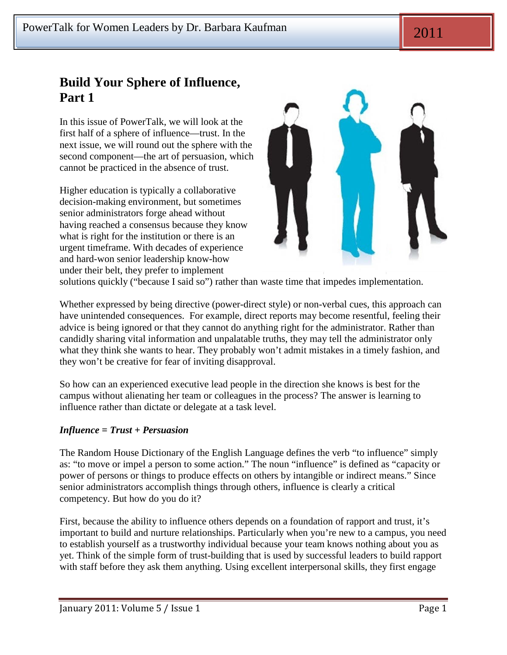# **Build Your Sphere of Influence, Part 1**

In this issue of PowerTalk, we will look at the first half of a sphere of influence—trust. In the next issue, we will round out the sphere with the second component—the art of persuasion, which cannot be practiced in the absence of trust.

Higher education is typically a collaborative decision-making environment, but sometimes senior administrators forge ahead without having reached a consensus because they know what is right for the institution or there is an urgent timeframe. With decades of experience and hard-won senior leadership know-how under their belt, they prefer to implement



solutions quickly ("because I said so") rather than waste time that impedes implementation.

Whether expressed by being directive (power-direct style) or non-verbal cues, this approach can have unintended consequences. For example, direct reports may become resentful, feeling their advice is being ignored or that they cannot do anything right for the administrator. Rather than candidly sharing vital information and unpalatable truths, they may tell the administrator only what they think she wants to hear. They probably won't admit mistakes in a timely fashion, and they won't be creative for fear of inviting disapproval.

So how can an experienced executive lead people in the direction she knows is best for the campus without alienating her team or colleagues in the process? The answer is learning to influence rather than dictate or delegate at a task level.

## *Influence = Trust + Persuasion*

The Random House Dictionary of the English Language defines the verb "to influence" simply as: "to move or impel a person to some action." The noun "influence" is defined as "capacity or power of persons or things to produce effects on others by intangible or indirect means." Since senior administrators accomplish things through others, influence is clearly a critical competency. But how do you do it?

First, because the ability to influence others depends on a foundation of rapport and trust, it's important to build and nurture relationships. Particularly when you're new to a campus, you need to establish yourself as a trustworthy individual because your team knows nothing about you as yet. Think of the simple form of trust-building that is used by successful leaders to build rapport with staff before they ask them anything. Using excellent interpersonal skills, they first engage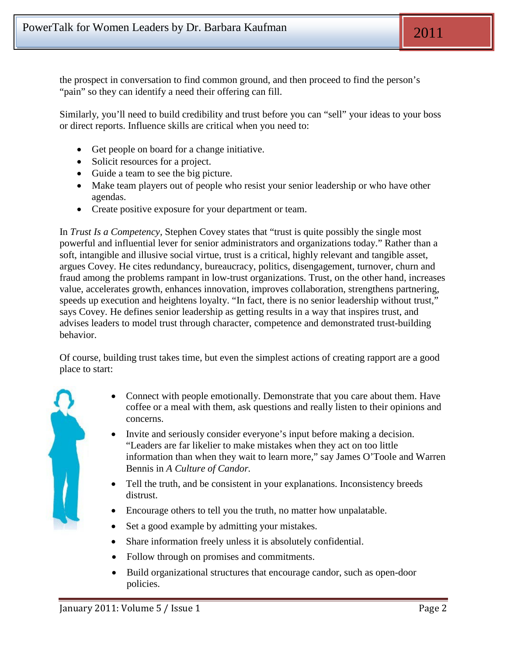the prospect in conversation to find common ground, and then proceed to find the person's "pain" so they can identify a need their offering can fill.

Similarly, you'll need to build credibility and trust before you can "sell" your ideas to your boss or direct reports. Influence skills are critical when you need to:

- Get people on board for a change initiative.
- Solicit resources for a project.
- Guide a team to see the big picture.
- Make team players out of people who resist your senior leadership or who have other agendas.
- Create positive exposure for your department or team.

In *Trust Is a Competency,* Stephen Covey states that "trust is quite possibly the single most powerful and influential lever for senior administrators and organizations today." Rather than a soft, intangible and illusive social virtue, trust is a critical, highly relevant and tangible asset, argues Covey. He cites redundancy, bureaucracy, politics, disengagement, turnover, churn and fraud among the problems rampant in low-trust organizations. Trust, on the other hand, increases value, accelerates growth, enhances innovation, improves collaboration, strengthens partnering, speeds up execution and heightens loyalty. "In fact, there is no senior leadership without trust," says Covey. He defines senior leadership as getting results in a way that inspires trust, and advises leaders to model trust through character, competence and demonstrated trust-building behavior.

Of course, building trust takes time, but even the simplest actions of creating rapport are a good place to start:



- Connect with people emotionally. Demonstrate that you care about them. Have coffee or a meal with them, ask questions and really listen to their opinions and concerns.
- Invite and seriously consider everyone's input before making a decision. "Leaders are far likelier to make mistakes when they act on too little information than when they wait to learn more," say James O'Toole and Warren Bennis in *A Culture of Candor.*
- Tell the truth, and be consistent in your explanations. Inconsistency breeds distrust.
- Encourage others to tell you the truth, no matter how unpalatable.
- Set a good example by admitting your mistakes.
- Share information freely unless it is absolutely confidential.
- Follow through on promises and commitments.
- Build organizational structures that encourage candor, such as open-door policies.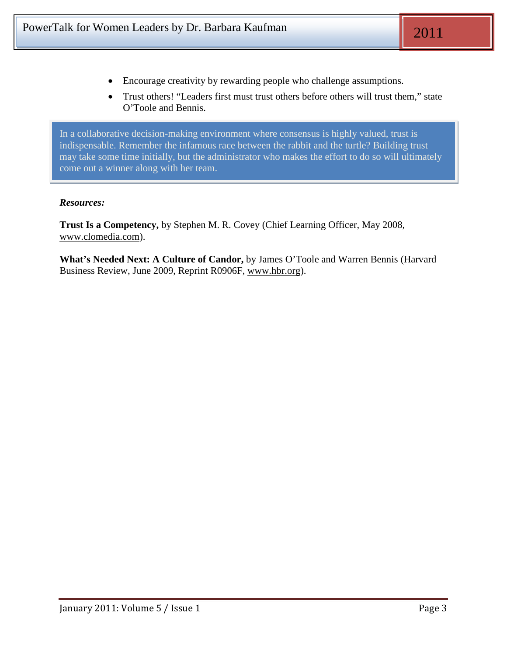- Encourage creativity by rewarding people who challenge assumptions.
- Trust others! "Leaders first must trust others before others will trust them," state O'Toole and Bennis.

In a collaborative decision-making environment where consensus is highly valued, trust is indispensable. Remember the infamous race between the rabbit and the turtle? Building trust may take some time initially, but the administrator who makes the effort to do so will ultimately come out a winner along with her team.

#### *Resources:*

**Trust Is a Competency,** by Stephen M. R. Covey (Chief Learning Officer, May 2008, [www.clomedia.com\)](http://www.clomedia.com/).

**What's Needed Next: A Culture of Candor,** by James O'Toole and Warren Bennis (Harvard Business Review, June 2009, Reprint R0906F, [www.hbr.org\)](http://www.hbr.org/).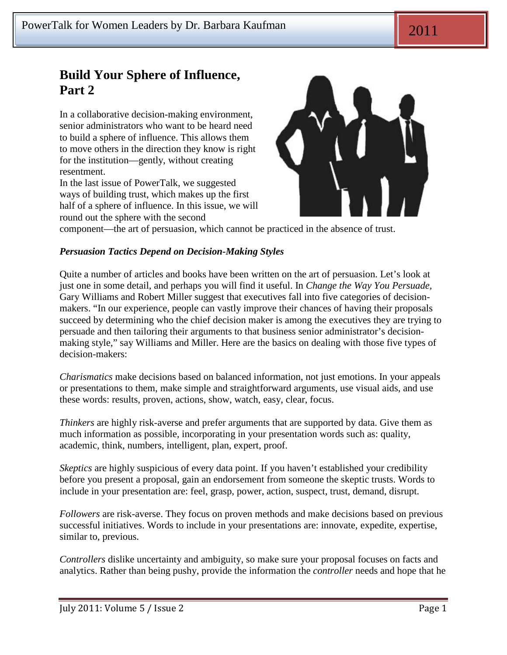# **Build Your Sphere of Influence, Part 2**

In a collaborative decision-making environment, senior administrators who want to be heard need to build a sphere of influence. This allows them to move others in the direction they know is right for the institution—gently, without creating resentment.

In the last issue of PowerTalk, we suggested ways of building trust, which makes up the first half of a sphere of influence. In this issue, we will round out the sphere with the second



component—the art of persuasion, which cannot be practiced in the absence of trust.

### *Persuasion Tactics Depend on Decision-Making Styles*

Quite a number of articles and books have been written on the art of persuasion. Let's look at just one in some detail, and perhaps you will find it useful. In *Change the Way You Persuade,* Gary Williams and Robert Miller suggest that executives fall into five categories of decisionmakers. "In our experience, people can vastly improve their chances of having their proposals succeed by determining who the chief decision maker is among the executives they are trying to persuade and then tailoring their arguments to that business senior administrator's decisionmaking style," say Williams and Miller. Here are the basics on dealing with those five types of decision-makers:

*Charismatics* make decisions based on balanced information, not just emotions. In your appeals or presentations to them, make simple and straightforward arguments, use visual aids, and use these words: results, proven, actions, show, watch, easy, clear, focus.

*Thinkers* are highly risk-averse and prefer arguments that are supported by data. Give them as much information as possible, incorporating in your presentation words such as: quality, academic, think, numbers, intelligent, plan, expert, proof.

*Skeptics* are highly suspicious of every data point. If you haven't established your credibility before you present a proposal, gain an endorsement from someone the skeptic trusts. Words to include in your presentation are: feel, grasp, power, action, suspect, trust, demand, disrupt.

*Followers* are risk-averse. They focus on proven methods and make decisions based on previous successful initiatives. Words to include in your presentations are: innovate, expedite, expertise, similar to, previous.

*Controllers* dislike uncertainty and ambiguity, so make sure your proposal focuses on facts and analytics. Rather than being pushy, provide the information the *controller* needs and hope that he